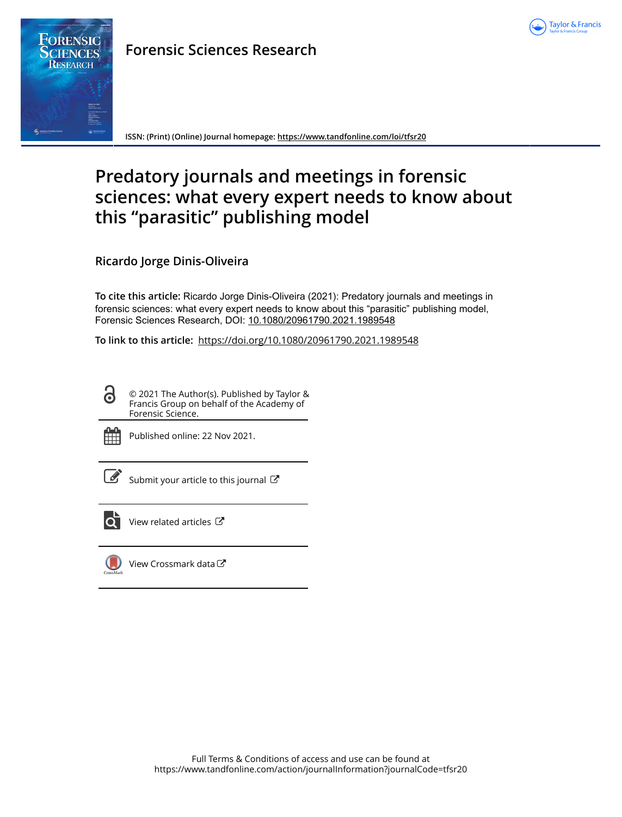

# FORENSIC **RESEARCH**

**Forensic Sciences Research**

**ISSN: (Print) (Online) Journal homepage:<https://www.tandfonline.com/loi/tfsr20>**

## **Predatory journals and meetings in forensic sciences: what every expert needs to know about this "parasitic" publishing model**

**Ricardo Jorge Dinis-Oliveira**

**To cite this article:** Ricardo Jorge Dinis-Oliveira (2021): Predatory journals and meetings in forensic sciences: what every expert needs to know about this "parasitic" publishing model, Forensic Sciences Research, DOI: [10.1080/20961790.2021.1989548](https://www.tandfonline.com/action/showCitFormats?doi=10.1080/20961790.2021.1989548)

**To link to this article:** <https://doi.org/10.1080/20961790.2021.1989548>

© 2021 The Author(s). Published by Taylor & Francis Group on behalf of the Academy of Forensic Science.



 $\bullet$ 

Published online: 22 Nov 2021.

[Submit your article to this journal](https://www.tandfonline.com/action/authorSubmission?journalCode=tfsr20&show=instructions)  $\mathbb{Z}$ 



[View related articles](https://www.tandfonline.com/doi/mlt/10.1080/20961790.2021.1989548)  $\mathbb{Z}$ 



[View Crossmark data](http://crossmark.crossref.org/dialog/?doi=10.1080/20961790.2021.1989548&domain=pdf&date_stamp=2021-11-22)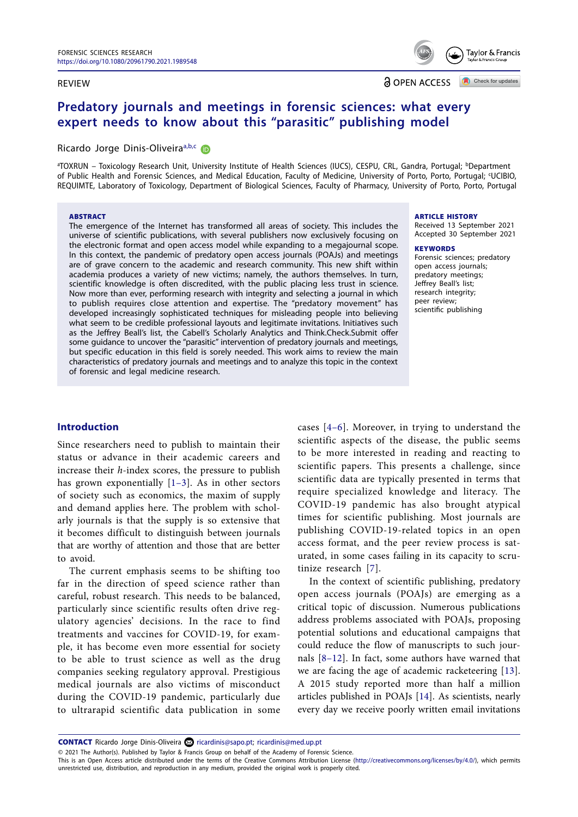#### **RFVIFW**

**a** OPEN ACCESS

Check for updates

Taylor & Francis

### **Predatory journals and meetings in forensic sciences: what every expert needs to know about this "parasitic" publishing model**

#### Ricardo Jorge Dinis-Oliveira<sup>[a,](#page-1-0)[b,](#page-1-1)[c](#page-1-2)</sup>

<span id="page-1-2"></span><span id="page-1-1"></span><span id="page-1-0"></span><sup>a</sup>TOXRUN – Toxicology Research Unit, University Institute of Health Sciences (IUCS), CESPU, CRL, Gandra, Portugal; <sup>b</sup>Department of Public Health and Forensic Sciences, and Medical Education, Faculty of Medicine, University of Porto, Porto, Portugal; <sup>c</sup>UCIBIO, REQUIMTE, Laboratory of Toxicology, Department of Biological Sciences, Faculty of Pharmacy, University of Porto, Porto, Portugal

#### **ARSTRACT**

The emergence of the Internet has transformed all areas of society. This includes the universe of scientific publications, with several publishers now exclusively focusing on the electronic format and open access model while expanding to a megajournal scope. In this context, the pandemic of predatory open access journals (POAJs) and meetings are of grave concern to the academic and research community. This new shift within academia produces a variety of new victims; namely, the authors themselves. In turn, scientific knowledge is often discredited, with the public placing less trust in science. Now more than ever, performing research with integrity and selecting a journal in which to publish requires close attention and expertise. The "predatory movement" has developed increasingly sophisticated techniques for misleading people into believing what seem to be credible professional layouts and legitimate invitations. Initiatives such as the Jeffrey Beall's list, the Cabell's Scholarly Analytics and Think.Check.Submit offer some guidance to uncover the "parasitic" intervention of predatory journals and meetings, but specific education in this field is sorely needed. This work aims to review the main characteristics of predatory journals and meetings and to analyze this topic in the context of forensic and legal medicine research.

#### ARTICLE HISTORY

Received 13 September 2021 Accepted 30 September 2021

#### **KEYWORDS**

Forensic sciences; predatory open access journals; predatory meetings; Jeffrey Beall's list; research integrity; peer review; scientific publishing

#### **Introduction**

<span id="page-1-3"></span>Since researchers need to publish to maintain their status or advance in their academic careers and increase their *h*-index scores, the pressure to publish has grown exponentially  $[1-3]$ . As in other sectors of society such as economics, the maxim of supply and demand applies here. The problem with scholarly journals is that the supply is so extensive that it becomes difficult to distinguish between journals that are worthy of attention and those that are better to avoid.

The current emphasis seems to be shifting too far in the direction of speed science rather than careful, robust research. This needs to be balanced, particularly since scientific results often drive regulatory agencies' decisions. In the race to find treatments and vaccines for COVID-19, for example, it has become even more essential for society to be able to trust science as well as the drug companies seeking regulatory approval. Prestigious medical journals are also victims of misconduct during the COVID-19 pandemic, particularly due to ultrarapid scientific data publication in some <span id="page-1-4"></span>cases [[4–6\]](#page-6-1). Moreover, in trying to understand the scientific aspects of the disease, the public seems to be more interested in reading and reacting to scientific papers. This presents a challenge, since scientific data are typically presented in terms that require specialized knowledge and literacy. The COVID-19 pandemic has also brought atypical times for scientific publishing. Most journals are publishing COVID-19-related topics in an open access format, and the peer review process is saturated, in some cases failing in its capacity to scrutinize research [[7](#page-6-2)].

<span id="page-1-8"></span><span id="page-1-7"></span><span id="page-1-6"></span><span id="page-1-5"></span>In the context of scientific publishing, predatory open access journals (POAJs) are emerging as a critical topic of discussion. Numerous publications address problems associated with POAJs, proposing potential solutions and educational campaigns that could reduce the flow of manuscripts to such journals [\[8–12](#page-6-3)]. In fact, some authors have warned that we are facing the age of academic racketeering [[13\]](#page-6-4). A 2015 study reported more than half a million articles published in POAJs [[14\]](#page-6-5). As scientists, nearly every day we receive poorly written email invitations

CONTACT Ricardo Jorge Dinis-Oliveira a [ricardinis@sapo.pt](mailto:ricardinis@sapo.pt); [ricardinis@med.up.pt](mailto:ricardinis@med.up.pt)

© 2021 The Author(s). Published by Taylor & Francis Group on behalf of the Academy of Forensic Science.

This is an Open Access article distributed under the terms of the Creative Commons Attribution License [\(http://creativecommons.org/licenses/by/4.0/](http://creativecommons.org/licenses/by/4.0/)), which permits unrestricted use, distribution, and reproduction in any medium, provided the original work is properly cited.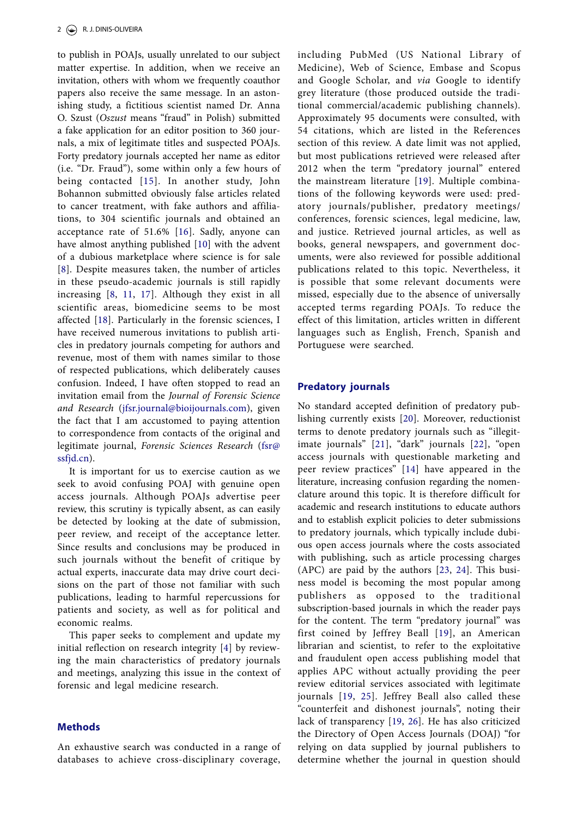<span id="page-2-1"></span><span id="page-2-0"></span>to publish in POAJs, usually unrelated to our subject matter expertise. In addition, when we receive an invitation, others with whom we frequently coauthor papers also receive the same message. In an astonishing study, a fictitious scientist named Dr. Anna O. Szust (*Oszust* means "fraud" in Polish) submitted a fake application for an editor position to 360 journals, a mix of legitimate titles and suspected POAJs. Forty predatory journals accepted her name as editor (i.e. "Dr. Fraud"), some within only a few hours of being contacted [[15\]](#page-6-6). In another study, John Bohannon submitted obviously false articles related to cancer treatment, with fake authors and affiliations, to 304 scientific journals and obtained an acceptance rate of 51.6% [[16](#page-6-7)]. Sadly, anyone can have almost anything published [[10\]](#page-6-8) with the advent of a dubious marketplace where science is for sale [[8](#page-6-3)]. Despite measures taken, the number of articles in these pseudo-academic journals is still rapidly increasing [\[8](#page-6-3), [11,](#page-6-9) [17](#page-6-10)]. Although they exist in all scientific areas, biomedicine seems to be most affected [[18](#page-6-11)]. Particularly in the forensic sciences, I have received numerous invitations to publish articles in predatory journals competing for authors and revenue, most of them with names similar to those of respected publications, which deliberately causes confusion. Indeed, I have often stopped to read an invitation email from the *Journal of Forensic Science and Research* ([jfsr.journal@bioijournals.com](mailto:jfsr.journal@bioijournals.com)), given the fact that I am accustomed to paying attention to correspondence from contacts of the original and legitimate journal, *Forensic Sciences Research* ([fsr@](mailto:fsr@ssfjd.cn) [ssfjd.cn\)](mailto:fsr@ssfjd.cn).

<span id="page-2-3"></span>It is important for us to exercise caution as we seek to avoid confusing POAJ with genuine open access journals. Although POAJs advertise peer review, this scrutiny is typically absent, as can easily be detected by looking at the date of submission, peer review, and receipt of the acceptance letter. Since results and conclusions may be produced in such journals without the benefit of critique by actual experts, inaccurate data may drive court decisions on the part of those not familiar with such publications, leading to harmful repercussions for patients and society, as well as for political and economic realms.

This paper seeks to complement and update my initial reflection on research integrity [\[4\]](#page-6-1) by reviewing the main characteristics of predatory journals and meetings, analyzing this issue in the context of forensic and legal medicine research.

#### **Methods**

An exhaustive search was conducted in a range of databases to achieve cross-disciplinary coverage,

<span id="page-2-4"></span>including PubMed (US National Library of Medicine), Web of Science, Embase and Scopus and Google Scholar, and *via* Google to identify grey literature (those produced outside the traditional commercial/academic publishing channels). Approximately 95 documents were consulted, with 54 citations, which are listed in the References section of this review. A date limit was not applied, but most publications retrieved were released after 2012 when the term "predatory journal" entered the mainstream literature [[19](#page-6-12)]. Multiple combinations of the following keywords were used: predatory journals/publisher, predatory meetings/ conferences, forensic sciences, legal medicine, law, and justice. Retrieved journal articles, as well as books, general newspapers, and government documents, were also reviewed for possible additional publications related to this topic. Nevertheless, it is possible that some relevant documents were missed, especially due to the absence of universally accepted terms regarding POAJs. To reduce the effect of this limitation, articles written in different languages such as English, French, Spanish and Portuguese were searched.

#### <span id="page-2-2"></span>**Predatory journals**

<span id="page-2-11"></span><span id="page-2-10"></span><span id="page-2-9"></span><span id="page-2-8"></span><span id="page-2-7"></span><span id="page-2-6"></span><span id="page-2-5"></span>No standard accepted definition of predatory publishing currently exists [\[20\]](#page-6-13). Moreover, reductionist terms to denote predatory journals such as "illegitimate journals" [[21](#page-7-0)], "dark" journals [[22\]](#page-7-1), "open access journals with questionable marketing and peer review practices" [[14](#page-6-5)] have appeared in the literature, increasing confusion regarding the nomenclature around this topic. It is therefore difficult for academic and research institutions to educate authors and to establish explicit policies to deter submissions to predatory journals, which typically include dubious open access journals where the costs associated with publishing, such as article processing charges (APC) are paid by the authors [[23](#page-7-2), [24](#page-7-3)]. This business model is becoming the most popular among publishers as opposed to the traditional subscription-based journals in which the reader pays for the content. The term "predatory journal" was first coined by Jeffrey Beall [[19\]](#page-6-12), an American librarian and scientist, to refer to the exploitative and fraudulent open access publishing model that applies APC without actually providing the peer review editorial services associated with legitimate journals [[19](#page-6-12), [25\]](#page-7-4). Jeffrey Beall also called these "counterfeit and dishonest journals", noting their lack of transparency [[19](#page-6-12), [26\]](#page-7-5). He has also criticized the Directory of Open Access Journals (DOAJ) "for relying on data supplied by journal publishers to determine whether the journal in question should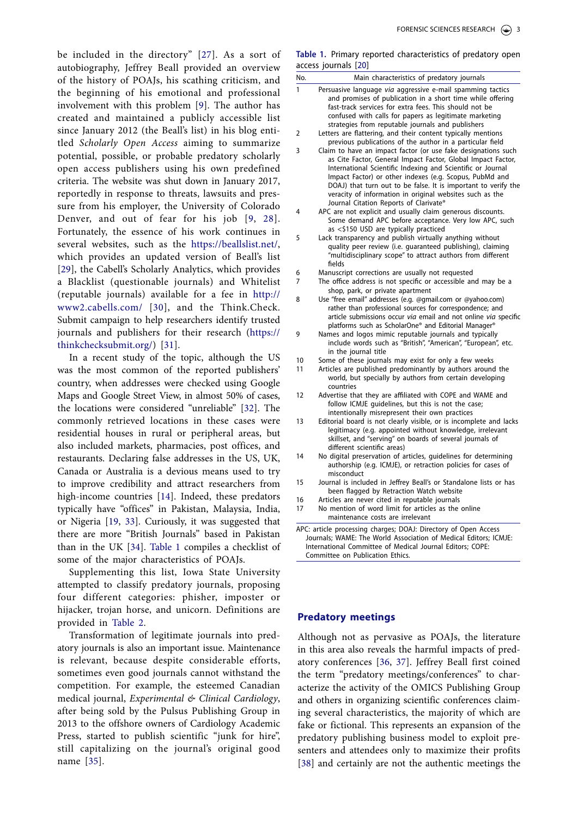<span id="page-3-1"></span>be included in the directory" [[27](#page-7-6)]. As a sort of autobiography, Jeffrey Beall provided an overview of the history of POAJs, his scathing criticism, and the beginning of his emotional and professional involvement with this problem [[9\]](#page-6-14). The author has created and maintained a publicly accessible list since January 2012 (the Beall's list) in his blog entitled *Scholarly Open Access* aiming to summarize potential, possible, or probable predatory scholarly open access publishers using his own predefined criteria. The website was shut down in January 2017, reportedly in response to threats, lawsuits and pressure from his employer, the University of Colorado Denver, and out of fear for his job [[9](#page-6-14), [28](#page-7-7)]. Fortunately, the essence of his work continues in several websites, such as the <https://beallslist.net/>, which provides an updated version of Beall's list [[29\]](#page-7-8), the Cabell's Scholarly Analytics, which provides a Blacklist (questionable journals) and Whitelist (reputable journals) available for a fee in [http://](http://www2.cabells.com/) [www2.cabells.com/](http://www2.cabells.com/) [[30\]](#page-7-9), and the Think.Check. Submit campaign to help researchers identify trusted journals and publishers for their research ([https://](https://thinkchecksubmit.org/) [thinkchecksubmit.org/](https://thinkchecksubmit.org/)) [[31](#page-7-10)].

<span id="page-3-6"></span><span id="page-3-5"></span><span id="page-3-4"></span><span id="page-3-3"></span>In a recent study of the topic, although the US was the most common of the reported publishers' country, when addresses were checked using Google Maps and Google Street View, in almost 50% of cases, the locations were considered "unreliable" [[32\]](#page-7-11). The commonly retrieved locations in these cases were residential houses in rural or peripheral areas, but also included markets, pharmacies, post offices, and restaurants. Declaring false addresses in the US, UK, Canada or Australia is a devious means used to try to improve credibility and attract researchers from high-income countries [\[14\]](#page-6-5). Indeed, these predators typically have "offices" in Pakistan, Malaysia, India, or Nigeria [[19](#page-6-12), [33\]](#page-7-12). Curiously, it was suggested that there are more "British Journals" based in Pakistan than in the UK [\[34](#page-7-13)]. [Table 1](#page-3-0) compiles a checklist of some of the major characteristics of POAJs.

<span id="page-3-8"></span><span id="page-3-7"></span>Supplementing this list, Iowa State University attempted to classify predatory journals, proposing four different categories: phisher, imposter or hijacker, trojan horse, and unicorn. Definitions are provided in [Table 2.](#page-4-0)

<span id="page-3-9"></span>Transformation of legitimate journals into predatory journals is also an important issue. Maintenance is relevant, because despite considerable efforts, sometimes even good journals cannot withstand the competition. For example, the esteemed Canadian medical journal, *Experimental & Clinical Cardiology*, after being sold by the Pulsus Publishing Group in 2013 to the offshore owners of Cardiology Academic Press, started to publish scientific "junk for hire", still capitalizing on the journal's original good name [[35](#page-7-14)].

<span id="page-3-2"></span><span id="page-3-0"></span>

|                      | Table 1. Primary reported characteristics of predatory open |  |  |
|----------------------|-------------------------------------------------------------|--|--|
| access journals [20] |                                                             |  |  |

| No.          | Main characteristics of predatory journals                                                                                                                                                                                                                                                                                                                                                                                      |
|--------------|---------------------------------------------------------------------------------------------------------------------------------------------------------------------------------------------------------------------------------------------------------------------------------------------------------------------------------------------------------------------------------------------------------------------------------|
| $\mathbf{1}$ | Persuasive language via aggressive e-mail spamming tactics<br>and promises of publication in a short time while offering<br>fast-track services for extra fees. This should not be<br>confused with calls for papers as legitimate marketing<br>strategies from reputable journals and publishers                                                                                                                               |
| 2            | Letters are flattering, and their content typically mentions<br>previous publications of the author in a particular field                                                                                                                                                                                                                                                                                                       |
| 3            | Claim to have an impact factor (or use fake designations such<br>as Cite Factor, General Impact Factor, Global Impact Factor,<br>International Scientific Indexing and Scientific or Journal<br>Impact Factor) or other indexes (e.g. Scopus, PubMd and<br>DOAJ) that turn out to be false. It is important to verify the<br>veracity of information in original websites such as the<br>Journal Citation Reports of Clarivate® |
| 4            | APC are not explicit and usually claim generous discounts.<br>Some demand APC before acceptance. Very low APC, such<br>as <\$150 USD are typically practiced                                                                                                                                                                                                                                                                    |
| 5            | Lack transparency and publish virtually anything without<br>quality peer review (i.e. guaranteed publishing), claiming<br>"multidisciplinary scope" to attract authors from different<br>fields                                                                                                                                                                                                                                 |
| 6            | Manuscript corrections are usually not requested                                                                                                                                                                                                                                                                                                                                                                                |
| 7            | The office address is not specific or accessible and may be a<br>shop, park, or private apartment                                                                                                                                                                                                                                                                                                                               |
| 8            | Use "free email" addresses (e.g. @gmail.com or @yahoo.com)<br>rather than professional sources for correspondence; and<br>article submissions occur via email and not online via specific<br>platforms such as ScholarOne® and Editorial Manager®                                                                                                                                                                               |
| 9            | Names and logos mimic reputable journals and typically<br>include words such as "British", "American", "European", etc.<br>in the journal title                                                                                                                                                                                                                                                                                 |
| 10           | Some of these journals may exist for only a few weeks                                                                                                                                                                                                                                                                                                                                                                           |
| 11           | Articles are published predominantly by authors around the<br>world, but specially by authors from certain developing<br>countries                                                                                                                                                                                                                                                                                              |
| 12           | Advertise that they are affiliated with COPE and WAME and<br>follow ICMJE quidelines, but this is not the case;<br>intentionally misrepresent their own practices                                                                                                                                                                                                                                                               |
| 13           | Editorial board is not clearly visible, or is incomplete and lacks<br>legitimacy (e.g. appointed without knowledge, irrelevant<br>skillset, and "serving" on boards of several journals of<br>different scientific areas)                                                                                                                                                                                                       |
| 14           | No digital preservation of articles, guidelines for determining<br>authorship (e.g. ICMJE), or retraction policies for cases of<br>misconduct                                                                                                                                                                                                                                                                                   |
| 15           | Journal is included in Jeffrey Beall's or Standalone lists or has<br>been flagged by Retraction Watch website                                                                                                                                                                                                                                                                                                                   |
| 16           | Articles are never cited in reputable journals                                                                                                                                                                                                                                                                                                                                                                                  |
| 17           | No mention of word limit for articles as the online<br>maintenance costs are irrelevant                                                                                                                                                                                                                                                                                                                                         |
|              | APC: article processing charges; DOAJ: Directory of Open Access<br>Journals; WAME: The World Association of Medical Editors; ICMJE:<br>International Committee of Medical Journal Editors; COPE:                                                                                                                                                                                                                                |

#### **Predatory meetings**

<span id="page-3-12"></span><span id="page-3-11"></span><span id="page-3-10"></span>Although not as pervasive as POAJs, the literature in this area also reveals the harmful impacts of predatory conferences [\[36](#page-7-15), [37](#page-7-16)]. Jeffrey Beall first coined the term "predatory meetings/conferences" to characterize the activity of the OMICS Publishing Group and others in organizing scientific conferences claiming several characteristics, the majority of which are fake or fictional. This represents an expansion of the predatory publishing business model to exploit presenters and attendees only to maximize their profits [\[38](#page-7-17)] and certainly are not the authentic meetings the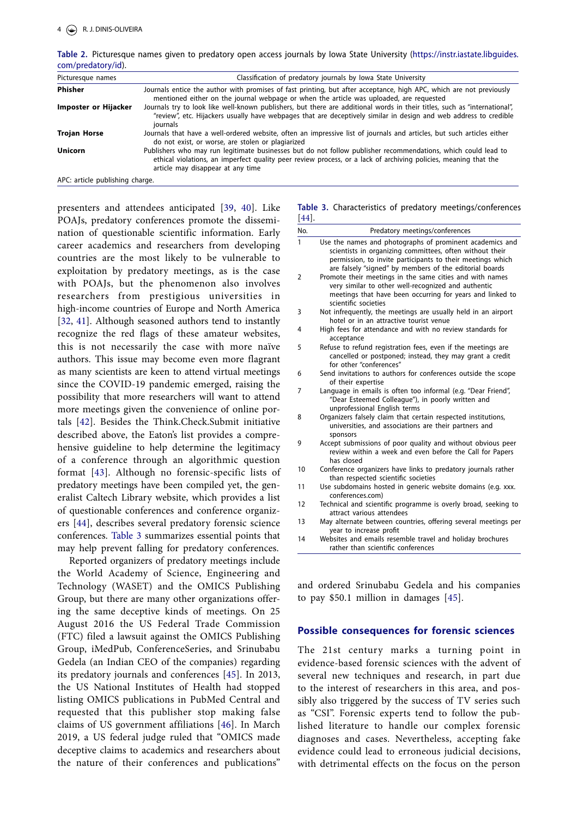| $\frac{1}{2}$                   |                                                                                                                                                                                                                                                                       |
|---------------------------------|-----------------------------------------------------------------------------------------------------------------------------------------------------------------------------------------------------------------------------------------------------------------------|
| Picturesque names               | Classification of predatory journals by Iowa State University                                                                                                                                                                                                         |
| Phisher                         | Journals entice the author with promises of fast printing, but after acceptance, high APC, which are not previously<br>mentioned either on the journal webpage or when the article was uploaded, are requested                                                        |
| Imposter or Hijacker            | Journals try to look like well-known publishers, but there are additional words in their titles, such as "international",<br>"review", etc. Hijackers usually have webpages that are deceptively similar in design and web address to credible<br>journals            |
| <b>Trojan Horse</b>             | Journals that have a well-ordered website, often an impressive list of journals and articles, but such articles either<br>do not exist, or worse, are stolen or plagiarized                                                                                           |
| <b>Unicorn</b>                  | Publishers who may run legitimate businesses but do not follow publisher recommendations, which could lead to<br>ethical violations, an imperfect quality peer review process, or a lack of archiving policies, meaning that the<br>article may disappear at any time |
| APC: article publishing charge. |                                                                                                                                                                                                                                                                       |

<span id="page-4-0"></span>**Table 2.** Picturesque names given to predatory open access journals by Iowa State University [\(https://instr.iastate.libguides.](https://instr.iastate.libguides.com/predatory/id) [com/predatory/id\)](https://instr.iastate.libguides.com/predatory/id).

<span id="page-4-4"></span><span id="page-4-2"></span>presenters and attendees anticipated [[39,](#page-7-18) [40\]](#page-7-19). Like POAJs, predatory conferences promote the dissemination of questionable scientific information. Early career academics and researchers from developing countries are the most likely to be vulnerable to exploitation by predatory meetings, as is the case with POAJs, but the phenomenon also involves researchers from prestigious universities in high-income countries of Europe and North America [[32,](#page-7-11) [41\]](#page-7-20). Although seasoned authors tend to instantly recognize the red flags of these amateur websites, this is not necessarily the case with more naïve authors. This issue may become even more flagrant as many scientists are keen to attend virtual meetings since the COVID-19 pandemic emerged, raising the possibility that more researchers will want to attend more meetings given the convenience of online portals [\[42](#page-7-21)]. Besides the Think.Check.Submit initiative described above, the Eaton's list provides a comprehensive guideline to help determine the legitimacy of a conference through an algorithmic question format [\[43\]](#page-7-22). Although no forensic-specific lists of predatory meetings have been compiled yet, the generalist Caltech Library website, which provides a list of questionable conferences and conference organizers [[44](#page-7-23)], describes several predatory forensic science conferences. [Table 3](#page-4-1) summarizes essential points that may help prevent falling for predatory conferences.

<span id="page-4-9"></span><span id="page-4-8"></span><span id="page-4-7"></span><span id="page-4-6"></span><span id="page-4-5"></span>Reported organizers of predatory meetings include the World Academy of Science, Engineering and Technology (WASET) and the OMICS Publishing Group, but there are many other organizations offering the same deceptive kinds of meetings. On 25 August 2016 the US Federal Trade Commission (FTC) filed a lawsuit against the OMICS Publishing Group, iMedPub, ConferenceSeries, and Srinubabu Gedela (an Indian CEO of the companies) regarding its predatory journals and conferences [\[45](#page-7-24)]. In 2013, the US National Institutes of Health had stopped listing OMICS publications in PubMed Central and requested that this publisher stop making false claims of US government affiliations [[46\]](#page-7-25). In March 2019, a US federal judge ruled that "OMICS made deceptive claims to academics and researchers about the nature of their conferences and publications"

#### <span id="page-4-3"></span><span id="page-4-1"></span>**Table 3.** Characteristics of predatory meetings/conferences [[44](#page-7-23)].

| No. | Predatory meetings/conferences                                                                                                                                                                                                                |
|-----|-----------------------------------------------------------------------------------------------------------------------------------------------------------------------------------------------------------------------------------------------|
| 1   | Use the names and photographs of prominent academics and<br>scientists in organizing committees, often without their<br>permission, to invite participants to their meetings which<br>are falsely "signed" by members of the editorial boards |
| 2   | Promote their meetings in the same cities and with names<br>very similar to other well-recognized and authentic<br>meetings that have been occurring for years and linked to<br>scientific societies                                          |
| 3   | Not infrequently, the meetings are usually held in an airport<br>hotel or in an attractive tourist venue                                                                                                                                      |
| 4   | High fees for attendance and with no review standards for<br>acceptance                                                                                                                                                                       |
| 5   | Refuse to refund registration fees, even if the meetings are<br>cancelled or postponed; instead, they may grant a credit<br>for other "conferences"                                                                                           |
| 6   | Send invitations to authors for conferences outside the scope<br>of their expertise                                                                                                                                                           |
| 7   | Language in emails is often too informal (e.g. "Dear Friend",<br>"Dear Esteemed Colleague"), in poorly written and<br>unprofessional English terms                                                                                            |
| 8   | Organizers falsely claim that certain respected institutions,<br>universities, and associations are their partners and<br>sponsors                                                                                                            |
| 9   | Accept submissions of poor quality and without obvious peer<br>review within a week and even before the Call for Papers<br>has closed                                                                                                         |
| 10  | Conference organizers have links to predatory journals rather<br>than respected scientific societies                                                                                                                                          |
| 11  | Use subdomains hosted in generic website domains (e.g. xxx.<br>conferences.com)                                                                                                                                                               |
| 12  | Technical and scientific programme is overly broad, seeking to<br>attract various attendees                                                                                                                                                   |
| 13  | May alternate between countries, offering several meetings per<br>year to increase profit                                                                                                                                                     |
| 14  | Websites and emails resemble travel and holiday brochures<br>rather than scientific conferences                                                                                                                                               |

and ordered Srinubabu Gedela and his companies to pay \$50.1 million in damages [\[45\]](#page-7-24).

#### **Possible consequences for forensic sciences**

The 21st century marks a turning point in evidence-based forensic sciences with the advent of several new techniques and research, in part due to the interest of researchers in this area, and possibly also triggered by the success of TV series such as "CSI". Forensic experts tend to follow the published literature to handle our complex forensic diagnoses and cases. Nevertheless, accepting fake evidence could lead to erroneous judicial decisions, with detrimental effects on the focus on the person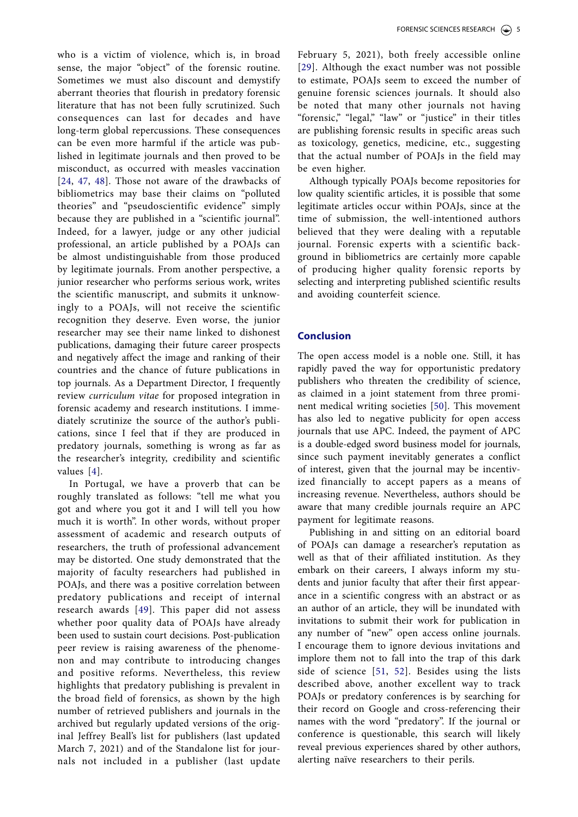<span id="page-5-1"></span><span id="page-5-0"></span>who is a victim of violence, which is, in broad sense, the major "object" of the forensic routine. Sometimes we must also discount and demystify aberrant theories that flourish in predatory forensic literature that has not been fully scrutinized. Such consequences can last for decades and have long-term global repercussions. These consequences can be even more harmful if the article was published in legitimate journals and then proved to be misconduct, as occurred with measles vaccination [[24](#page-7-3), [47,](#page-7-26) [48](#page-7-27)]. Those not aware of the drawbacks of bibliometrics may base their claims on "polluted theories" and "pseudoscientific evidence" simply because they are published in a "scientific journal". Indeed, for a lawyer, judge or any other judicial professional, an article published by a POAJs can be almost undistinguishable from those produced by legitimate journals. From another perspective, a junior researcher who performs serious work, writes the scientific manuscript, and submits it unknowingly to a POAJs, will not receive the scientific recognition they deserve. Even worse, the junior researcher may see their name linked to dishonest publications, damaging their future career prospects and negatively affect the image and ranking of their countries and the chance of future publications in top journals. As a Department Director, I frequently review *curriculum vitae* for proposed integration in forensic academy and research institutions. I immediately scrutinize the source of the author's publications, since I feel that if they are produced in predatory journals, something is wrong as far as the researcher's integrity, credibility and scientific values [\[4\]](#page-6-1).

<span id="page-5-2"></span>In Portugal, we have a proverb that can be roughly translated as follows: "tell me what you got and where you got it and I will tell you how much it is worth". In other words, without proper assessment of academic and research outputs of researchers, the truth of professional advancement may be distorted. One study demonstrated that the majority of faculty researchers had published in POAJs, and there was a positive correlation between predatory publications and receipt of internal research awards [[49](#page-7-28)]. This paper did not assess whether poor quality data of POAJs have already been used to sustain court decisions. Post-publication peer review is raising awareness of the phenomenon and may contribute to introducing changes and positive reforms. Nevertheless, this review highlights that predatory publishing is prevalent in the broad field of forensics, as shown by the high number of retrieved publishers and journals in the archived but regularly updated versions of the original Jeffrey Beall's list for publishers (last updated March 7, 2021) and of the Standalone list for journals not included in a publisher (last update February 5, 2021), both freely accessible online [\[29](#page-7-8)]. Although the exact number was not possible to estimate, POAJs seem to exceed the number of genuine forensic sciences journals. It should also be noted that many other journals not having "forensic," "legal," "law" or "justice" in their titles are publishing forensic results in specific areas such as toxicology, genetics, medicine, etc., suggesting that the actual number of POAJs in the field may be even higher.

Although typically POAJs become repositories for low quality scientific articles, it is possible that some legitimate articles occur within POAJs, since at the time of submission, the well-intentioned authors believed that they were dealing with a reputable journal. Forensic experts with a scientific background in bibliometrics are certainly more capable of producing higher quality forensic reports by selecting and interpreting published scientific results and avoiding counterfeit science.

#### **Conclusion**

<span id="page-5-3"></span>The open access model is a noble one. Still, it has rapidly paved the way for opportunistic predatory publishers who threaten the credibility of science, as claimed in a joint statement from three prominent medical writing societies [[50](#page-7-29)]. This movement has also led to negative publicity for open access journals that use APC. Indeed, the payment of APC is a double-edged sword business model for journals, since such payment inevitably generates a conflict of interest, given that the journal may be incentivized financially to accept papers as a means of increasing revenue. Nevertheless, authors should be aware that many credible journals require an APC payment for legitimate reasons.

<span id="page-5-5"></span><span id="page-5-4"></span>Publishing in and sitting on an editorial board of POAJs can damage a researcher's reputation as well as that of their affiliated institution. As they embark on their careers, I always inform my students and junior faculty that after their first appearance in a scientific congress with an abstract or as an author of an article, they will be inundated with invitations to submit their work for publication in any number of "new" open access online journals. I encourage them to ignore devious invitations and implore them not to fall into the trap of this dark side of science [[51,](#page-7-30) [52\]](#page-7-31). Besides using the lists described above, another excellent way to track POAJs or predatory conferences is by searching for their record on Google and cross-referencing their names with the word "predatory". If the journal or conference is questionable, this search will likely reveal previous experiences shared by other authors, alerting naïve researchers to their perils.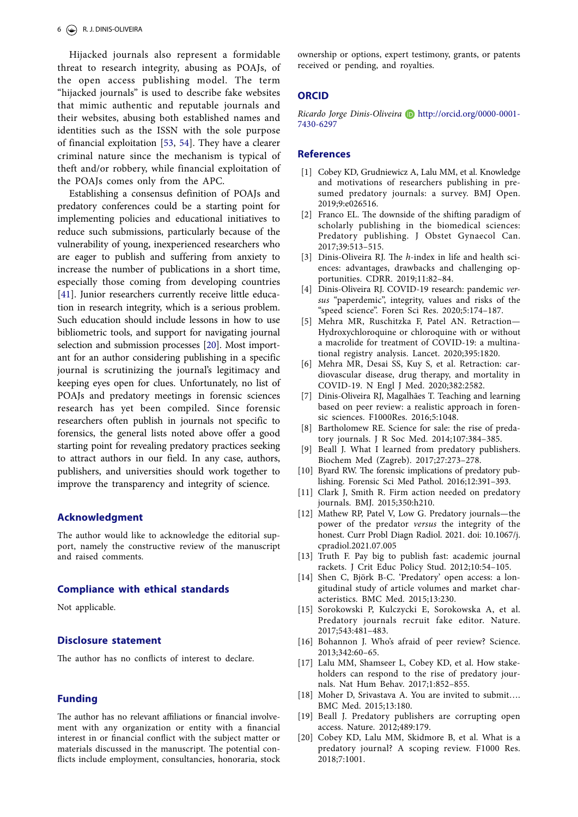Hijacked journals also represent a formidable threat to research integrity, abusing as POAJs, of the open access publishing model. The term "hijacked journals" is used to describe fake websites that mimic authentic and reputable journals and their websites, abusing both established names and identities such as the ISSN with the sole purpose of financial exploitation [[53,](#page-7-32) [54\]](#page-7-33). They have a clearer criminal nature since the mechanism is typical of theft and/or robbery, while financial exploitation of the POAJs comes only from the APC.

<span id="page-6-15"></span>Establishing a consensus definition of POAJs and predatory conferences could be a starting point for implementing policies and educational initiatives to reduce such submissions, particularly because of the vulnerability of young, inexperienced researchers who are eager to publish and suffering from anxiety to increase the number of publications in a short time, especially those coming from developing countries [[41\]](#page-7-20). Junior researchers currently receive little education in research integrity, which is a serious problem. Such education should include lessons in how to use bibliometric tools, and support for navigating journal selection and submission processes [[20\]](#page-6-13). Most important for an author considering publishing in a specific journal is scrutinizing the journal's legitimacy and keeping eyes open for clues. Unfortunately, no list of POAJs and predatory meetings in forensic sciences research has yet been compiled. Since forensic researchers often publish in journals not specific to forensics, the general lists noted above offer a good starting point for revealing predatory practices seeking to attract authors in our field. In any case, authors, publishers, and universities should work together to improve the transparency and integrity of science.

#### **Acknowledgment**

The author would like to acknowledge the editorial support, namely the constructive review of the manuscript and raised comments.

#### **Compliance with ethical standards**

Not applicable.

#### **Disclosure statement**

The author has no conflicts of interest to declare.

#### **Funding**

The author has no relevant affiliations or financial involvement with any organization or entity with a financial interest in or financial conflict with the subject matter or materials discussed in the manuscript. The potential conflicts include employment, consultancies, honoraria, stock ownership or options, expert testimony, grants, or patents received or pending, and royalties.

#### **ORCID**

*Ricardo Jorge Dinis-Oliveira* [http://orcid.org/0000-0001-](http://orcid.org/0000-0001-7430-6297) [7430-6297](http://orcid.org/0000-0001-7430-6297)

#### <span id="page-6-16"></span>**References**

- <span id="page-6-0"></span>[[1](#page-1-3)] Cobey KD, Grudniewicz A, Lalu MM, et al. Knowledge and motivations of researchers publishing in presumed predatory journals: a survey. BMJ Open. 2019;9:e026516.
- [[2](#page-1-3)] Franco EL. The downside of the shifting paradigm of scholarly publishing in the biomedical sciences: Predatory publishing. J Obstet Gynaecol Can. 2017;39:513–515.
- [[3](#page-1-3)] Dinis-Oliveira RJ. The *h*-index in life and health sciences: advantages, drawbacks and challenging opportunities. CDRR. 2019;11:82–84.
- <span id="page-6-1"></span>[[4](#page-1-4)] Dinis-Oliveira RJ. COVID-19 research: pandemic *versus* "paperdemic", integrity, values and risks of the "speed science". Foren Sci Res. 2020;5:174–187.
- [[5](#page-1-4)] Mehra MR, Ruschitzka F, Patel AN. Retraction— Hydroxychloroquine or chloroquine with or without a macrolide for treatment of COVID-19: a multinational registry analysis. Lancet. 2020;395:1820.
- [[6](#page-1-4)] Mehra MR, Desai SS, Kuy S, et al. Retraction: cardiovascular disease, drug therapy, and mortality in COVID-19. N Engl J Med. 2020;382:2582.
- <span id="page-6-2"></span>[[7](#page-1-5)] Dinis-Oliveira RJ, Magalhães T. Teaching and learning based on peer review: a realistic approach in forensic sciences. F1000Res. 2016;5:1048.
- <span id="page-6-3"></span>[[8](#page-1-6)] Bartholomew RE. Science for sale: the rise of predatory journals. J R Soc Med. 2014;107:384–385.
- <span id="page-6-14"></span>[[9](#page-1-6)] Beall J. What I learned from predatory publishers. Biochem Med (Zagreb). 2017;27:273–278.
- <span id="page-6-8"></span>[[10](#page-1-6)] Byard RW. The forensic implications of predatory publishing. Forensic Sci Med Pathol. 2016;12:391–393.
- <span id="page-6-9"></span>[[11](#page-1-6)] Clark J, Smith R. Firm action needed on predatory journals. BMJ. 2015;350:h210.
- [[12](#page-1-6)] Mathew RP, Patel V, Low G. Predatory journals—the power of the predator *versus* the integrity of the honest. Curr Probl Diagn Radiol. 2021. doi: 10.1067/j. cpradiol.2021.07.005
- <span id="page-6-4"></span>[[13](#page-1-7)] Truth F. Pay big to publish fast: academic journal rackets. J Crit Educ Policy Stud. 2012;10:54–105.
- <span id="page-6-5"></span>[[14](#page-1-8)] Shen C, Björk B-C. 'Predatory' open access: a longitudinal study of article volumes and market characteristics. BMC Med. 2015;13:230.
- <span id="page-6-6"></span>[[15](#page-2-0)] Sorokowski P, Kulczycki E, Sorokowska A, et al. Predatory journals recruit fake editor. Nature. 2017;543:481–483.
- <span id="page-6-7"></span>[[16](#page-2-1)] Bohannon J. Who's afraid of peer review? Science. 2013;342:60–65.
- <span id="page-6-10"></span>[[17](#page-2-2)] Lalu MM, Shamseer L, Cobey KD, et al. How stakeholders can respond to the rise of predatory journals. Nat Hum Behav. 2017;1:852–855.
- <span id="page-6-11"></span>[[18](#page-2-3)] Moher D, Srivastava A. You are invited to submit.... BMC Med. 2015;13:180.
- <span id="page-6-12"></span>[[19](#page-2-4)] Beall J. Predatory publishers are corrupting open access. Nature. 2012;489:179.
- <span id="page-6-13"></span>[[20](#page-2-5)] Cobey KD, Lalu MM, Skidmore B, et al. What is a predatory journal? A scoping review. F1000 Res. 2018;7:1001.